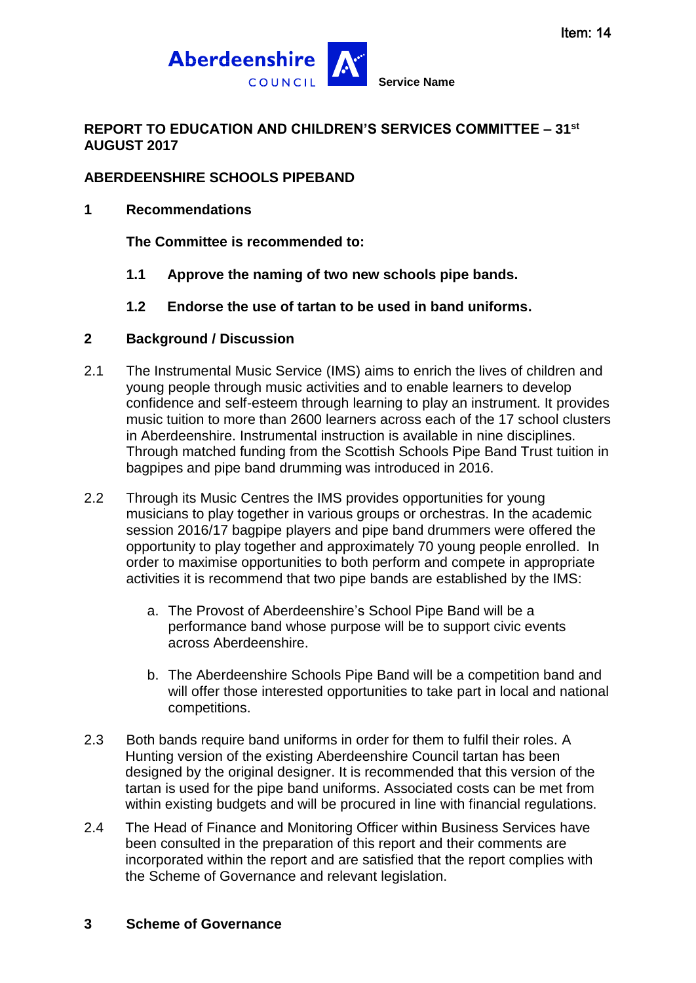

# **REPORT TO EDUCATION AND CHILDREN'S SERVICES COMMITTEE – 31st AUGUST 2017**

## **ABERDEENSHIRE SCHOOLS PIPEBAND**

**1 Recommendations**

**The Committee is recommended to:**

- **1.1 Approve the naming of two new schools pipe bands.**
- **1.2 Endorse the use of tartan to be used in band uniforms.**

#### **2 Background / Discussion**

- 2.1 The Instrumental Music Service (IMS) aims to enrich the lives of children and young people through music activities and to enable learners to develop confidence and self-esteem through learning to play an instrument. It provides music tuition to more than 2600 learners across each of the 17 school clusters in Aberdeenshire. Instrumental instruction is available in nine disciplines. Through matched funding from the Scottish Schools Pipe Band Trust tuition in bagpipes and pipe band drumming was introduced in 2016.
- 2.2 Through its Music Centres the IMS provides opportunities for young musicians to play together in various groups or orchestras. In the academic session 2016/17 bagpipe players and pipe band drummers were offered the opportunity to play together and approximately 70 young people enrolled. In order to maximise opportunities to both perform and compete in appropriate activities it is recommend that two pipe bands are established by the IMS:
	- a. The Provost of Aberdeenshire's School Pipe Band will be a performance band whose purpose will be to support civic events across Aberdeenshire.
	- b. The Aberdeenshire Schools Pipe Band will be a competition band and will offer those interested opportunities to take part in local and national competitions.
- 2.3 Both bands require band uniforms in order for them to fulfil their roles. A Hunting version of the existing Aberdeenshire Council tartan has been designed by the original designer. It is recommended that this version of the tartan is used for the pipe band uniforms. Associated costs can be met from within existing budgets and will be procured in line with financial regulations.
- 2.4 The Head of Finance and Monitoring Officer within Business Services have been consulted in the preparation of this report and their comments are incorporated within the report and are satisfied that the report complies with the Scheme of Governance and relevant legislation.

#### **3 Scheme of Governance**